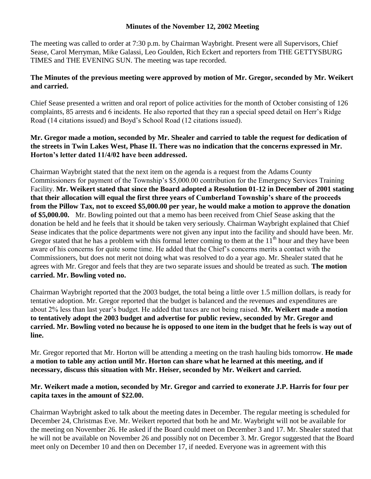## **Minutes of the November 12, 2002 Meeting**

The meeting was called to order at 7:30 p.m. by Chairman Waybright. Present were all Supervisors, Chief Sease, Carol Merryman, Mike Galassi, Leo Goulden, Rich Eckert and reporters from THE GETTYSBURG TIMES and THE EVENING SUN. The meeting was tape recorded.

## **The Minutes of the previous meeting were approved by motion of Mr. Gregor, seconded by Mr. Weikert and carried.**

Chief Sease presented a written and oral report of police activities for the month of October consisting of 126 complaints, 85 arrests and 6 incidents. He also reported that they ran a special speed detail on Herr's Ridge Road (14 citations issued) and Boyd's School Road (12 citations issued).

## **Mr. Gregor made a motion, seconded by Mr. Shealer and carried to table the request for dedication of the streets in Twin Lakes West, Phase II. There was no indication that the concerns expressed in Mr. Horton's letter dated 11/4/02 have been addressed.**

Chairman Waybright stated that the next item on the agenda is a request from the Adams County Commissioners for payment of the Township's \$5,000.00 contribution for the Emergency Services Training Facility. **Mr. Weikert stated that since the Board adopted a Resolution 01-12 in December of 2001 stating that their allocation will equal the first three years of Cumberland Township's share of the proceeds from the Pillow Tax, not to exceed \$5,000.00 per year, he would make a motion to approve the donation of \$5,000.00.** Mr. Bowling pointed out that a memo has been received from Chief Sease asking that the donation be held and he feels that it should be taken very seriously. Chairman Waybright explained that Chief Sease indicates that the police departments were not given any input into the facility and should have been. Mr. Gregor stated that he has a problem with this formal letter coming to them at the  $11<sup>th</sup>$  hour and they have been aware of his concerns for quite some time. He added that the Chief's concerns merits a contact with the Commissioners, but does not merit not doing what was resolved to do a year ago. Mr. Shealer stated that he agrees with Mr. Gregor and feels that they are two separate issues and should be treated as such. **The motion carried. Mr. Bowling voted no.**

Chairman Waybright reported that the 2003 budget, the total being a little over 1.5 million dollars, is ready for tentative adoption. Mr. Gregor reported that the budget is balanced and the revenues and expenditures are about 2% less than last year's budget. He added that taxes are not being raised. **Mr. Weikert made a motion to tentatively adopt the 2003 budget and advertise for public review, seconded by Mr. Gregor and carried. Mr. Bowling voted no because he is opposed to one item in the budget that he feels is way out of line.** 

Mr. Gregor reported that Mr. Horton will be attending a meeting on the trash hauling bids tomorrow. **He made a motion to table any action until Mr. Horton can share what he learned at this meeting, and if necessary, discuss this situation with Mr. Heiser, seconded by Mr. Weikert and carried.** 

## **Mr. Weikert made a motion, seconded by Mr. Gregor and carried to exonerate J.P. Harris for four per capita taxes in the amount of \$22.00.**

Chairman Waybright asked to talk about the meeting dates in December. The regular meeting is scheduled for December 24, Christmas Eve. Mr. Weikert reported that both he and Mr. Waybright will not be available for the meeting on November 26. He asked if the Board could meet on December 3 and 17. Mr. Shealer stated that he will not be available on November 26 and possibly not on December 3. Mr. Gregor suggested that the Board meet only on December 10 and then on December 17, if needed. Everyone was in agreement with this